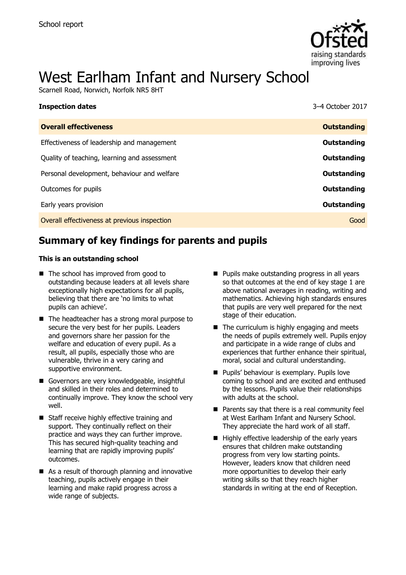

# West Earlham Infant and Nursery School

Scarnell Road, Norwich, Norfolk NR5 8HT

| <b>Inspection dates</b>                      | 3-4 October 2017   |
|----------------------------------------------|--------------------|
| <b>Overall effectiveness</b>                 | <b>Outstanding</b> |
| Effectiveness of leadership and management   | Outstanding        |
| Quality of teaching, learning and assessment | Outstanding        |
| Personal development, behaviour and welfare  | Outstanding        |
| Outcomes for pupils                          | Outstanding        |
| Early years provision                        | Outstanding        |
| Overall effectiveness at previous inspection | Good               |
|                                              |                    |

# **Summary of key findings for parents and pupils**

#### **This is an outstanding school**

- The school has improved from good to outstanding because leaders at all levels share exceptionally high expectations for all pupils, believing that there are 'no limits to what pupils can achieve'.
- The headteacher has a strong moral purpose to secure the very best for her pupils. Leaders and governors share her passion for the welfare and education of every pupil. As a result, all pupils, especially those who are vulnerable, thrive in a very caring and supportive environment.
- Governors are very knowledgeable, insightful and skilled in their roles and determined to continually improve. They know the school very well.
- Staff receive highly effective training and support. They continually reflect on their practice and ways they can further improve. This has secured high-quality teaching and learning that are rapidly improving pupils' outcomes.
- As a result of thorough planning and innovative teaching, pupils actively engage in their learning and make rapid progress across a wide range of subjects.
- **Pupils make outstanding progress in all years** so that outcomes at the end of key stage 1 are above national averages in reading, writing and mathematics. Achieving high standards ensures that pupils are very well prepared for the next stage of their education.
- $\blacksquare$  The curriculum is highly engaging and meets the needs of pupils extremely well. Pupils enjoy and participate in a wide range of clubs and experiences that further enhance their spiritual, moral, social and cultural understanding.
- **Pupils' behaviour is exemplary. Pupils love** coming to school and are excited and enthused by the lessons. Pupils value their relationships with adults at the school.
- $\blacksquare$  Parents say that there is a real community feel at West Earlham Infant and Nursery School. They appreciate the hard work of all staff.
- $\blacksquare$  Highly effective leadership of the early years ensures that children make outstanding progress from very low starting points. However, leaders know that children need more opportunities to develop their early writing skills so that they reach higher standards in writing at the end of Reception.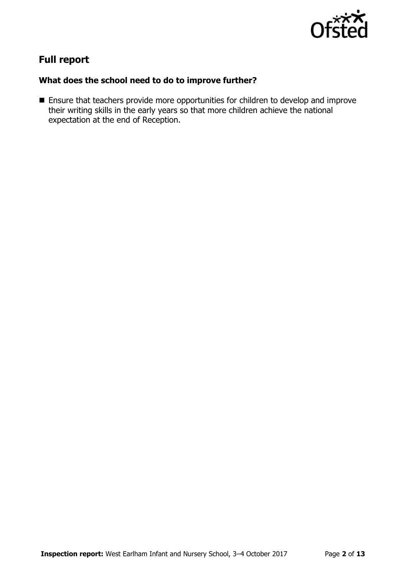

# **Full report**

### **What does the school need to do to improve further?**

**Ensure that teachers provide more opportunities for children to develop and improve** their writing skills in the early years so that more children achieve the national expectation at the end of Reception.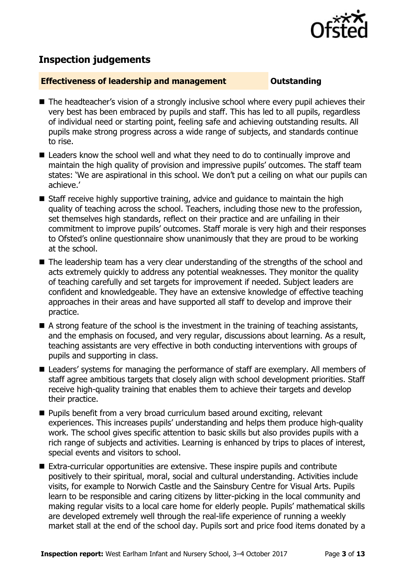

# **Inspection judgements**

#### **Effectiveness of leadership and management COULDER COULDER OUTSTANDING**

- The headteacher's vision of a strongly inclusive school where every pupil achieves their very best has been embraced by pupils and staff. This has led to all pupils, regardless of individual need or starting point, feeling safe and achieving outstanding results. All pupils make strong progress across a wide range of subjects, and standards continue to rise.
- Leaders know the school well and what they need to do to continually improve and maintain the high quality of provision and impressive pupils' outcomes. The staff team states: 'We are aspirational in this school. We don't put a ceiling on what our pupils can achieve.'
- Staff receive highly supportive training, advice and guidance to maintain the high quality of teaching across the school. Teachers, including those new to the profession, set themselves high standards, reflect on their practice and are unfailing in their commitment to improve pupils' outcomes. Staff morale is very high and their responses to Ofsted's online questionnaire show unanimously that they are proud to be working at the school.
- The leadership team has a very clear understanding of the strengths of the school and acts extremely quickly to address any potential weaknesses. They monitor the quality of teaching carefully and set targets for improvement if needed. Subject leaders are confident and knowledgeable. They have an extensive knowledge of effective teaching approaches in their areas and have supported all staff to develop and improve their practice.
- A strong feature of the school is the investment in the training of teaching assistants, and the emphasis on focused, and very regular, discussions about learning. As a result, teaching assistants are very effective in both conducting interventions with groups of pupils and supporting in class.
- Leaders' systems for managing the performance of staff are exemplary. All members of staff agree ambitious targets that closely align with school development priorities. Staff receive high-quality training that enables them to achieve their targets and develop their practice.
- **Pupils benefit from a very broad curriculum based around exciting, relevant** experiences. This increases pupils' understanding and helps them produce high-quality work. The school gives specific attention to basic skills but also provides pupils with a rich range of subjects and activities. Learning is enhanced by trips to places of interest, special events and visitors to school.
- Extra-curricular opportunities are extensive. These inspire pupils and contribute positively to their spiritual, moral, social and cultural understanding. Activities include visits, for example to Norwich Castle and the Sainsbury Centre for Visual Arts. Pupils learn to be responsible and caring citizens by litter-picking in the local community and making regular visits to a local care home for elderly people. Pupils' mathematical skills are developed extremely well through the real-life experience of running a weekly market stall at the end of the school day. Pupils sort and price food items donated by a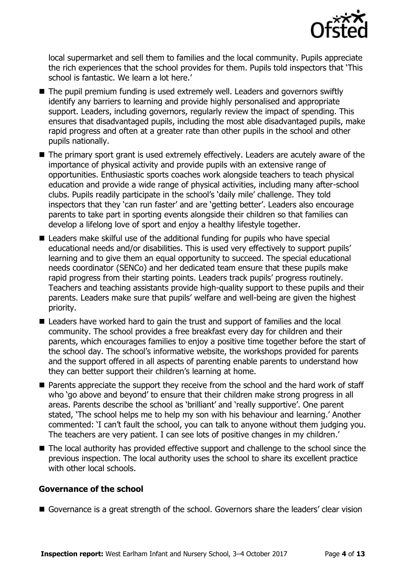

local supermarket and sell them to families and the local community. Pupils appreciate the rich experiences that the school provides for them. Pupils told inspectors that 'This school is fantastic. We learn a lot here.'

- The pupil premium funding is used extremely well. Leaders and governors swiftly identify any barriers to learning and provide highly personalised and appropriate support. Leaders, including governors, regularly review the impact of spending. This ensures that disadvantaged pupils, including the most able disadvantaged pupils, make rapid progress and often at a greater rate than other pupils in the school and other pupils nationally.
- The primary sport grant is used extremely effectively. Leaders are acutely aware of the importance of physical activity and provide pupils with an extensive range of opportunities. Enthusiastic sports coaches work alongside teachers to teach physical education and provide a wide range of physical activities, including many after-school clubs. Pupils readily participate in the school's 'daily mile' challenge. They told inspectors that they 'can run faster' and are 'getting better'. Leaders also encourage parents to take part in sporting events alongside their children so that families can develop a lifelong love of sport and enjoy a healthy lifestyle together.
- Leaders make skilful use of the additional funding for pupils who have special educational needs and/or disabilities. This is used very effectively to support pupils' learning and to give them an equal opportunity to succeed. The special educational needs coordinator (SENCo) and her dedicated team ensure that these pupils make rapid progress from their starting points. Leaders track pupils' progress routinely. Teachers and teaching assistants provide high-quality support to these pupils and their parents. Leaders make sure that pupils' welfare and well-being are given the highest priority.
- Leaders have worked hard to gain the trust and support of families and the local community. The school provides a free breakfast every day for children and their parents, which encourages families to enjoy a positive time together before the start of the school day. The school's informative website, the workshops provided for parents and the support offered in all aspects of parenting enable parents to understand how they can better support their children's learning at home.
- Parents appreciate the support they receive from the school and the hard work of staff who 'go above and beyond' to ensure that their children make strong progress in all areas. Parents describe the school as 'brilliant' and 'really supportive'. One parent stated, 'The school helps me to help my son with his behaviour and learning.' Another commented: 'I can't fault the school, you can talk to anyone without them judging you. The teachers are very patient. I can see lots of positive changes in my children.'
- The local authority has provided effective support and challenge to the school since the previous inspection. The local authority uses the school to share its excellent practice with other local schools.

### **Governance of the school**

Governance is a great strength of the school. Governors share the leaders' clear vision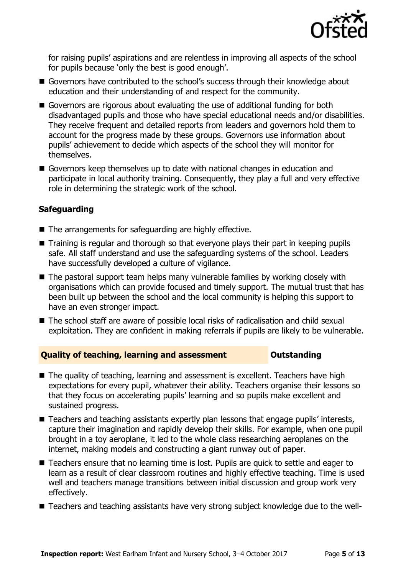

for raising pupils' aspirations and are relentless in improving all aspects of the school for pupils because 'only the best is good enough'.

- Governors have contributed to the school's success through their knowledge about education and their understanding of and respect for the community.
- Governors are rigorous about evaluating the use of additional funding for both disadvantaged pupils and those who have special educational needs and/or disabilities. They receive frequent and detailed reports from leaders and governors hold them to account for the progress made by these groups. Governors use information about pupils' achievement to decide which aspects of the school they will monitor for themselves.
- Governors keep themselves up to date with national changes in education and participate in local authority training. Consequently, they play a full and very effective role in determining the strategic work of the school.

### **Safeguarding**

- The arrangements for safeguarding are highly effective.
- Training is regular and thorough so that everyone plays their part in keeping pupils safe. All staff understand and use the safeguarding systems of the school. Leaders have successfully developed a culture of vigilance.
- The pastoral support team helps many vulnerable families by working closely with organisations which can provide focused and timely support. The mutual trust that has been built up between the school and the local community is helping this support to have an even stronger impact.
- The school staff are aware of possible local risks of radicalisation and child sexual exploitation. They are confident in making referrals if pupils are likely to be vulnerable.

#### **Quality of teaching, learning and assessment Outstanding**

- The quality of teaching, learning and assessment is excellent. Teachers have high expectations for every pupil, whatever their ability. Teachers organise their lessons so that they focus on accelerating pupils' learning and so pupils make excellent and sustained progress.
- Teachers and teaching assistants expertly plan lessons that engage pupils' interests, capture their imagination and rapidly develop their skills. For example, when one pupil brought in a toy aeroplane, it led to the whole class researching aeroplanes on the internet, making models and constructing a giant runway out of paper.
- Teachers ensure that no learning time is lost. Pupils are quick to settle and eager to learn as a result of clear classroom routines and highly effective teaching. Time is used well and teachers manage transitions between initial discussion and group work very effectively.
- Teachers and teaching assistants have very strong subject knowledge due to the well-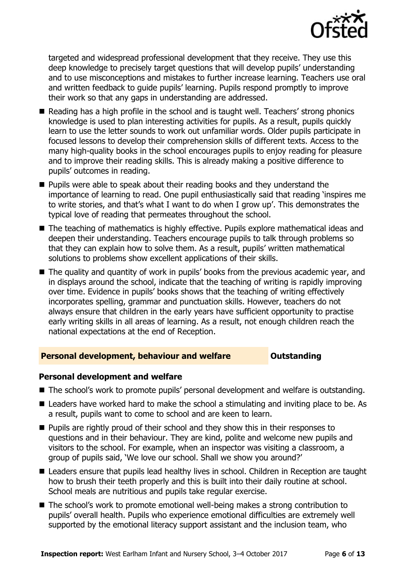

targeted and widespread professional development that they receive. They use this deep knowledge to precisely target questions that will develop pupils' understanding and to use misconceptions and mistakes to further increase learning. Teachers use oral and written feedback to guide pupils' learning. Pupils respond promptly to improve their work so that any gaps in understanding are addressed.

- Reading has a high profile in the school and is taught well. Teachers' strong phonics knowledge is used to plan interesting activities for pupils. As a result, pupils quickly learn to use the letter sounds to work out unfamiliar words. Older pupils participate in focused lessons to develop their comprehension skills of different texts. Access to the many high-quality books in the school encourages pupils to enjoy reading for pleasure and to improve their reading skills. This is already making a positive difference to pupils' outcomes in reading.
- **Pupils were able to speak about their reading books and they understand the** importance of learning to read. One pupil enthusiastically said that reading 'inspires me to write stories, and that's what I want to do when I grow up'. This demonstrates the typical love of reading that permeates throughout the school.
- The teaching of mathematics is highly effective. Pupils explore mathematical ideas and deepen their understanding. Teachers encourage pupils to talk through problems so that they can explain how to solve them. As a result, pupils' written mathematical solutions to problems show excellent applications of their skills.
- The quality and quantity of work in pupils' books from the previous academic year, and in displays around the school, indicate that the teaching of writing is rapidly improving over time. Evidence in pupils' books shows that the teaching of writing effectively incorporates spelling, grammar and punctuation skills. However, teachers do not always ensure that children in the early years have sufficient opportunity to practise early writing skills in all areas of learning. As a result, not enough children reach the national expectations at the end of Reception.

### **Personal development, behaviour and welfare <b>COU COULDER** Outstanding

#### **Personal development and welfare**

- The school's work to promote pupils' personal development and welfare is outstanding.
- Leaders have worked hard to make the school a stimulating and inviting place to be. As a result, pupils want to come to school and are keen to learn.
- **Pupils are rightly proud of their school and they show this in their responses to** questions and in their behaviour. They are kind, polite and welcome new pupils and visitors to the school. For example, when an inspector was visiting a classroom, a group of pupils said, 'We love our school. Shall we show you around?'
- Leaders ensure that pupils lead healthy lives in school. Children in Reception are taught how to brush their teeth properly and this is built into their daily routine at school. School meals are nutritious and pupils take regular exercise.
- The school's work to promote emotional well-being makes a strong contribution to pupils' overall health. Pupils who experience emotional difficulties are extremely well supported by the emotional literacy support assistant and the inclusion team, who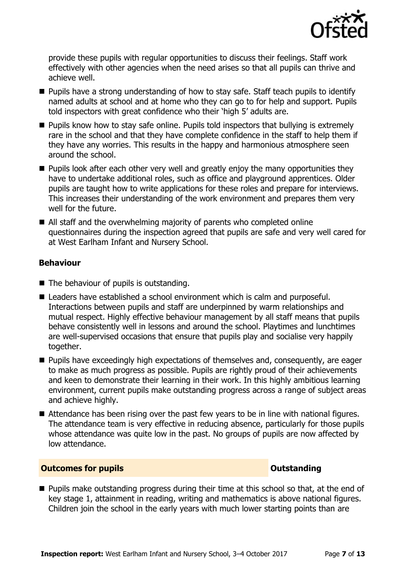

provide these pupils with regular opportunities to discuss their feelings. Staff work effectively with other agencies when the need arises so that all pupils can thrive and achieve well.

- **Pupils have a strong understanding of how to stay safe. Staff teach pupils to identify** named adults at school and at home who they can go to for help and support. Pupils told inspectors with great confidence who their 'high 5' adults are.
- **Pupils know how to stay safe online. Pupils told inspectors that bullying is extremely** rare in the school and that they have complete confidence in the staff to help them if they have any worries. This results in the happy and harmonious atmosphere seen around the school.
- $\blacksquare$  Pupils look after each other very well and greatly enjoy the many opportunities they have to undertake additional roles, such as office and playground apprentices. Older pupils are taught how to write applications for these roles and prepare for interviews. This increases their understanding of the work environment and prepares them very well for the future.
- All staff and the overwhelming majority of parents who completed online questionnaires during the inspection agreed that pupils are safe and very well cared for at West Earlham Infant and Nursery School.

### **Behaviour**

- $\blacksquare$  The behaviour of pupils is outstanding.
- Leaders have established a school environment which is calm and purposeful. Interactions between pupils and staff are underpinned by warm relationships and mutual respect. Highly effective behaviour management by all staff means that pupils behave consistently well in lessons and around the school. Playtimes and lunchtimes are well-supervised occasions that ensure that pupils play and socialise very happily together.
- **Pupils have exceedingly high expectations of themselves and, consequently, are eager** to make as much progress as possible. Pupils are rightly proud of their achievements and keen to demonstrate their learning in their work. In this highly ambitious learning environment, current pupils make outstanding progress across a range of subject areas and achieve highly.
- Attendance has been rising over the past few years to be in line with national figures. The attendance team is very effective in reducing absence, particularly for those pupils whose attendance was quite low in the past. No groups of pupils are now affected by low attendance.

### **Outcomes for pupils Outstanding**

**Pupils make outstanding progress during their time at this school so that, at the end of** key stage 1, attainment in reading, writing and mathematics is above national figures. Children join the school in the early years with much lower starting points than are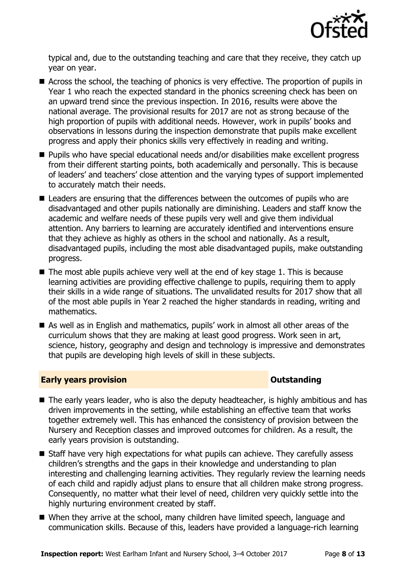

typical and, due to the outstanding teaching and care that they receive, they catch up year on year.

- Across the school, the teaching of phonics is very effective. The proportion of pupils in Year 1 who reach the expected standard in the phonics screening check has been on an upward trend since the previous inspection. In 2016, results were above the national average. The provisional results for 2017 are not as strong because of the high proportion of pupils with additional needs. However, work in pupils' books and observations in lessons during the inspection demonstrate that pupils make excellent progress and apply their phonics skills very effectively in reading and writing.
- Pupils who have special educational needs and/or disabilities make excellent progress from their different starting points, both academically and personally. This is because of leaders' and teachers' close attention and the varying types of support implemented to accurately match their needs.
- Leaders are ensuring that the differences between the outcomes of pupils who are disadvantaged and other pupils nationally are diminishing. Leaders and staff know the academic and welfare needs of these pupils very well and give them individual attention. Any barriers to learning are accurately identified and interventions ensure that they achieve as highly as others in the school and nationally. As a result, disadvantaged pupils, including the most able disadvantaged pupils, make outstanding progress.
- $\blacksquare$  The most able pupils achieve very well at the end of key stage 1. This is because learning activities are providing effective challenge to pupils, requiring them to apply their skills in a wide range of situations. The unvalidated results for 2017 show that all of the most able pupils in Year 2 reached the higher standards in reading, writing and mathematics.
- As well as in English and mathematics, pupils' work in almost all other areas of the curriculum shows that they are making at least good progress. Work seen in art, science, history, geography and design and technology is impressive and demonstrates that pupils are developing high levels of skill in these subjects.

#### **Early years provision CONSTANDING TO A RESEARCH CONSTANDING TO A RESEARCH CONSTANDING TO A RESEARCH CONSTANDING TO A RESEARCH CONSTANDING TO A RESEARCH CONSTANDING TO A RESEARCH CONSTANDING TO A RESEARCH CONSTANDING TO**

- The early years leader, who is also the deputy headteacher, is highly ambitious and has driven improvements in the setting, while establishing an effective team that works together extremely well. This has enhanced the consistency of provision between the Nursery and Reception classes and improved outcomes for children. As a result, the early years provision is outstanding.
- Staff have very high expectations for what pupils can achieve. They carefully assess children's strengths and the gaps in their knowledge and understanding to plan interesting and challenging learning activities. They regularly review the learning needs of each child and rapidly adjust plans to ensure that all children make strong progress. Consequently, no matter what their level of need, children very quickly settle into the highly nurturing environment created by staff.
- When they arrive at the school, many children have limited speech, language and communication skills. Because of this, leaders have provided a language-rich learning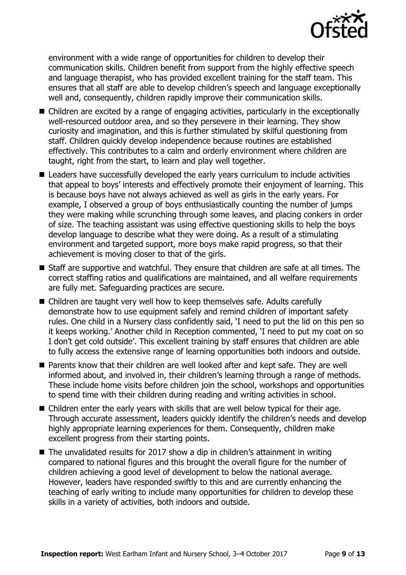

environment with a wide range of opportunities for children to develop their communication skills. Children benefit from support from the highly effective speech and language therapist, who has provided excellent training for the staff team. This ensures that all staff are able to develop children's speech and language exceptionally well and, consequently, children rapidly improve their communication skills.

- Children are excited by a range of engaging activities, particularly in the exceptionally well-resourced outdoor area, and so they persevere in their learning. They show curiosity and imagination, and this is further stimulated by skilful questioning from staff. Children quickly develop independence because routines are established effectively. This contributes to a calm and orderly environment where children are taught, right from the start, to learn and play well together.
- Leaders have successfully developed the early years curriculum to include activities that appeal to boys' interests and effectively promote their enjoyment of learning. This is because boys have not always achieved as well as girls in the early years. For example, I observed a group of boys enthusiastically counting the number of jumps they were making while scrunching through some leaves, and placing conkers in order of size. The teaching assistant was using effective questioning skills to help the boys develop language to describe what they were doing. As a result of a stimulating environment and targeted support, more boys make rapid progress, so that their achievement is moving closer to that of the girls.
- Staff are supportive and watchful. They ensure that children are safe at all times. The correct staffing ratios and qualifications are maintained, and all welfare requirements are fully met. Safeguarding practices are secure.
- Children are taught very well how to keep themselves safe. Adults carefully demonstrate how to use equipment safely and remind children of important safety rules. One child in a Nursery class confidently said, 'I need to put the lid on this pen so it keeps working.' Another child in Reception commented, 'I need to put my coat on so I don't get cold outside'. This excellent training by staff ensures that children are able to fully access the extensive range of learning opportunities both indoors and outside.
- Parents know that their children are well looked after and kept safe. They are well informed about, and involved in, their children's learning through a range of methods. These include home visits before children join the school, workshops and opportunities to spend time with their children during reading and writing activities in school.
- Children enter the early years with skills that are well below typical for their age. Through accurate assessment, leaders quickly identify the children's needs and develop highly appropriate learning experiences for them. Consequently, children make excellent progress from their starting points.
- The unvalidated results for 2017 show a dip in children's attainment in writing compared to national figures and this brought the overall figure for the number of children achieving a good level of development to below the national average. However, leaders have responded swiftly to this and are currently enhancing the teaching of early writing to include many opportunities for children to develop these skills in a variety of activities, both indoors and outside.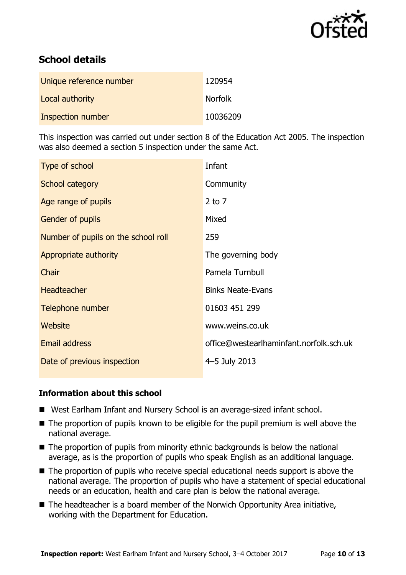

# **School details**

| Unique reference number | 120954         |
|-------------------------|----------------|
| Local authority         | <b>Norfolk</b> |
| Inspection number       | 10036209       |

This inspection was carried out under section 8 of the Education Act 2005. The inspection was also deemed a section 5 inspection under the same Act.

| Type of school                      | Infant                                  |
|-------------------------------------|-----------------------------------------|
| School category                     | Community                               |
| Age range of pupils                 | $2$ to $7$                              |
| Gender of pupils                    | Mixed                                   |
| Number of pupils on the school roll | 259                                     |
| Appropriate authority               | The governing body                      |
| Chair                               | Pamela Turnbull                         |
| <b>Headteacher</b>                  | <b>Binks Neate-Evans</b>                |
| Telephone number                    | 01603 451 299                           |
| Website                             | www.weins.co.uk                         |
| <b>Email address</b>                | office@westearlhaminfant.norfolk.sch.uk |
| Date of previous inspection         | 4-5 July 2013                           |

#### **Information about this school**

- West Earlham Infant and Nursery School is an average-sized infant school.
- The proportion of pupils known to be eligible for the pupil premium is well above the national average.
- The proportion of pupils from minority ethnic backgrounds is below the national average, as is the proportion of pupils who speak English as an additional language.
- The proportion of pupils who receive special educational needs support is above the national average. The proportion of pupils who have a statement of special educational needs or an education, health and care plan is below the national average.
- The headteacher is a board member of the Norwich Opportunity Area initiative, working with the Department for Education.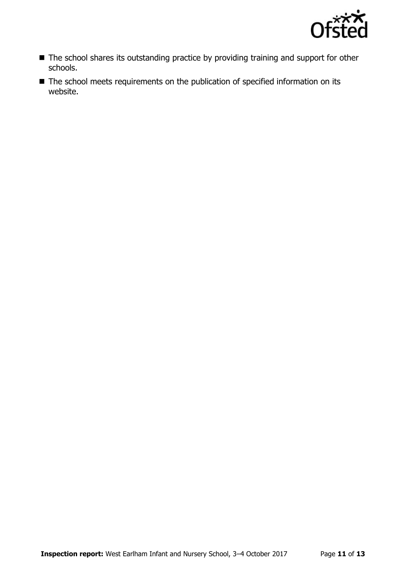

- The school shares its outstanding practice by providing training and support for other schools.
- The school meets requirements on the publication of specified information on its website.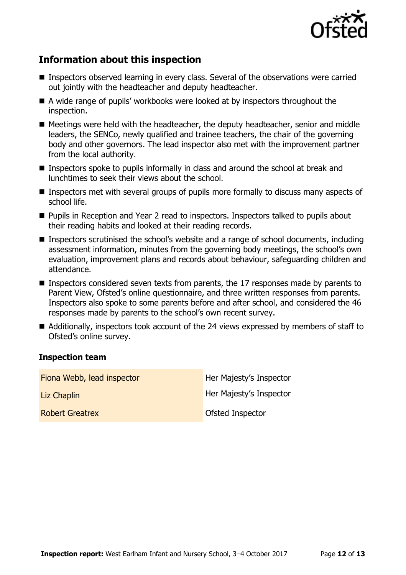

# **Information about this inspection**

- **Inspectors observed learning in every class. Several of the observations were carried** out jointly with the headteacher and deputy headteacher.
- A wide range of pupils' workbooks were looked at by inspectors throughout the inspection.
- $\blacksquare$  Meetings were held with the headteacher, the deputy headteacher, senior and middle leaders, the SENCo, newly qualified and trainee teachers, the chair of the governing body and other governors. The lead inspector also met with the improvement partner from the local authority.
- Inspectors spoke to pupils informally in class and around the school at break and lunchtimes to seek their views about the school.
- Inspectors met with several groups of pupils more formally to discuss many aspects of school life.
- **Pupils in Reception and Year 2 read to inspectors. Inspectors talked to pupils about** their reading habits and looked at their reading records.
- Inspectors scrutinised the school's website and a range of school documents, including assessment information, minutes from the governing body meetings, the school's own evaluation, improvement plans and records about behaviour, safeguarding children and attendance.
- Inspectors considered seven texts from parents, the 17 responses made by parents to Parent View, Ofsted's online questionnaire, and three written responses from parents. Inspectors also spoke to some parents before and after school, and considered the 46 responses made by parents to the school's own recent survey.
- Additionally, inspectors took account of the 24 views expressed by members of staff to Ofsted's online survey.

#### **Inspection team**

| Fiona Webb, lead inspector | Her Majesty's Inspector |
|----------------------------|-------------------------|
| Liz Chaplin                | Her Majesty's Inspector |
| <b>Robert Greatrex</b>     | Ofsted Inspector        |